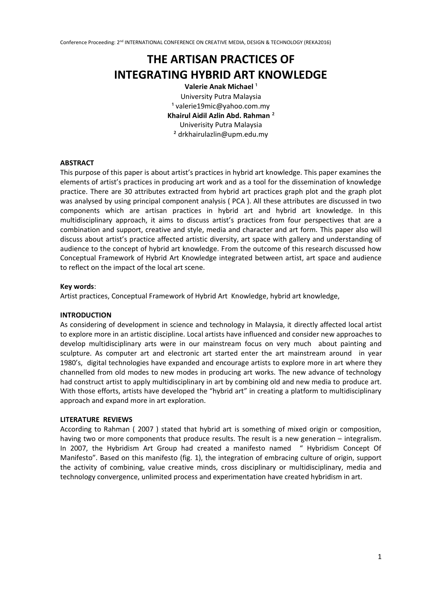# **THE ARTISAN PRACTICES OF INTEGRATING HYBRID ART KNOWLEDGE**

**Valerie Anak Michael**<sup>1</sup> University Putra Malaysia <sup>1</sup> valerie19mic@yahoo.com.my **Khairul Aidil Azlin Abd. Rahman** ² Univerisity Putra Malaysia ² drkhairulazlin@upm.edu.my

## **ABSTRACT**

This purpose of this paper is about artist's practices in hybrid art knowledge. This paper examines the elements of artist's practices in producing art work and as a tool for the dissemination of knowledge practice. There are 30 attributes extracted from hybrid art practices graph plot and the graph plot was analysed by using principal component analysis ( PCA ). All these attributes are discussed in two components which are artisan practices in hybrid art and hybrid art knowledge. In this multidisciplinary approach, it aims to discuss artist's practices from four perspectives that are a combination and support, creative and style, media and character and art form. This paper also will discuss about artist's practice affected artistic diversity, art space with gallery and understanding of audience to the concept of hybrid art knowledge. From the outcome of this research discussed how Conceptual Framework of Hybrid Art Knowledge integrated between artist, art space and audience to reflect on the impact of the local art scene.

#### **Key words**:

Artist practices, Conceptual Framework of Hybrid Art Knowledge, hybrid art knowledge,

#### **INTRODUCTION**

As considering of development in science and technology in Malaysia, it directly affected local artist to explore more in an artistic discipline. Local artists have influenced and consider new approaches to develop multidisciplinary arts were in our mainstream focus on very much about painting and sculpture. As computer art and electronic art started enter the art mainstream around in year 1980's, digital technologies have expanded and encourage artists to explore more in art where they channelled from old modes to new modes in producing art works. The new advance of technology had construct artist to apply multidisciplinary in art by combining old and new media to produce art. With those efforts, artists have developed the "hybrid art" in creating a platform to multidisciplinary approach and expand more in art exploration.

## **LITERATURE REVIEWS**

According to Rahman ( 2007 ) stated that hybrid art is something of mixed origin or composition, having two or more components that produce results. The result is a new generation – integralism. In 2007, the Hybridism Art Group had created a manifesto named " Hybridism Concept Of Manifesto". Based on this manifesto (fig. 1), the integration of embracing culture of origin, support the activity of combining, value creative minds, cross disciplinary or multidisciplinary, media and technology convergence, unlimited process and experimentation have created hybridism in art.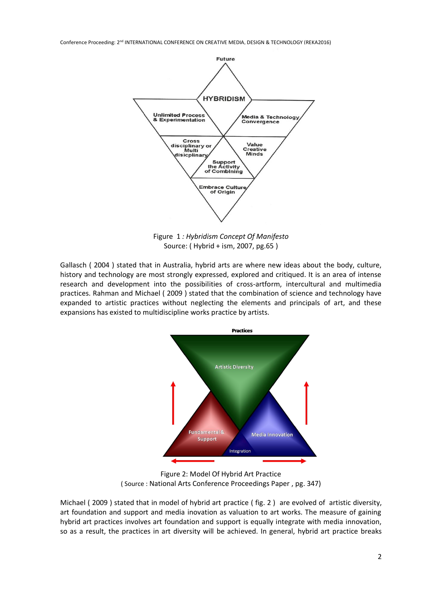

Figure 1 *: Hybridism Concept Of Manifesto* Source: ( Hybrid + ism, 2007, pg.65 )

Gallasch ( 2004 ) stated that in Australia, hybrid arts are where new ideas about the body, culture, history and technology are most strongly expressed, explored and critiqued. It is an area of intense research and development into the possibilities of cross-artform, intercultural and multimedia practices. Rahman and Michael ( 2009 ) stated that the combination of science and technology have expanded to artistic practices without neglecting the elements and principals of art, and these expansions has existed to multidiscipline works practice by artists.



Figure 2: Model Of Hybrid Art Practice ( Source : National Arts Conference Proceedings Paper , pg. 347)

Michael ( 2009 ) stated that in model of hybrid art practice ( fig. 2 ) are evolved of artistic diversity, art foundation and support and media inovation as valuation to art works. The measure of gaining hybrid art practices involves art foundation and support is equally integrate with media innovation, so as a result, the practices in art diversity will be achieved. In general, hybrid art practice breaks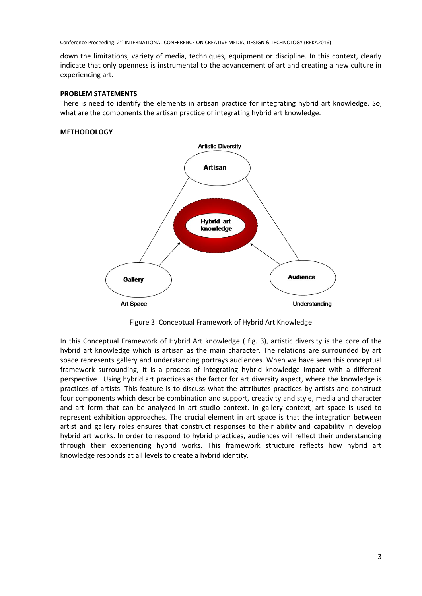down the limitations, variety of media, techniques, equipment or discipline. In this context, clearly indicate that only openness is instrumental to the advancement of art and creating a new culture in experiencing art.

#### **PROBLEM STATEMENTS**

There is need to identify the elements in artisan practice for integrating hybrid art knowledge. So, what are the components the artisan practice of integrating hybrid art knowledge.

#### **METHODOLOGY**



Figure 3: Conceptual Framework of Hybrid Art Knowledge

In this Conceptual Framework of Hybrid Art knowledge ( fig. 3), artistic diversity is the core of the hybrid art knowledge which is artisan as the main character. The relations are surrounded by art space represents gallery and understanding portrays audiences. When we have seen this conceptual framework surrounding, it is a process of integrating hybrid knowledge impact with a different perspective. Using hybrid art practices as the factor for art diversity aspect, where the knowledge is practices of artists. This feature is to discuss what the attributes practices by artists and construct four components which describe combination and support, creativity and style, media and character and art form that can be analyzed in art studio context. In gallery context, art space is used to represent exhibition approaches. The crucial element in art space is that the integration between artist and gallery roles ensures that construct responses to their ability and capability in develop hybrid art works. In order to respond to hybrid practices, audiences will reflect their understanding through their experiencing hybrid works. This framework structure reflects how hybrid art knowledge responds at all levels to create a hybrid identity.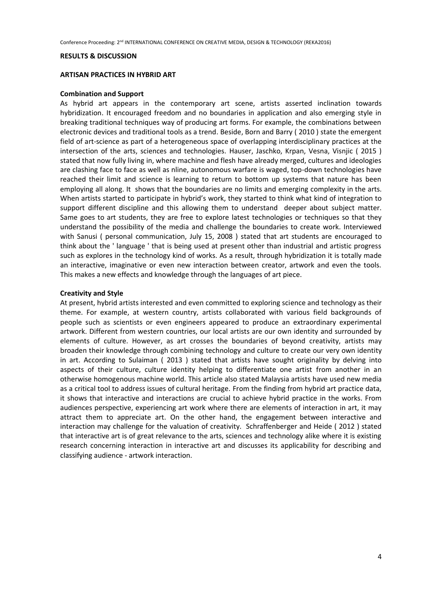#### **RESULTS & DISCUSSION**

#### **ARTISAN PRACTICES IN HYBRID ART**

#### **Combination and Support**

As hybrid art appears in the contemporary art scene, artists asserted inclination towards hybridization. It encouraged freedom and no boundaries in application and also emerging style in breaking traditional techniques way of producing art forms. For example, the combinations between electronic devices and traditional tools as a trend. Beside, Born and Barry ( 2010 ) state the emergent field of art-science as part of a heterogeneous space of overlapping interdisciplinary practices at the intersection of the arts, sciences and technologies. Hauser, Jaschko, Krpan, Vesna, Visnjic ( 2015 ) stated that now fully living in, where machine and flesh have already merged, cultures and ideologies are clashing face to face as well as nline, autonomous warfare is waged, top-down technologies have reached their limit and science is learning to return to bottom up systems that nature has been employing all along. It shows that the boundaries are no limits and emerging complexity in the arts. When artists started to participate in hybrid's work, they started to think what kind of integration to support different discipline and this allowing them to understand deeper about subject matter. Same goes to art students, they are free to explore latest technologies or techniques so that they understand the possibility of the media and challenge the boundaries to create work. Interviewed with Sanusi ( personal communication, July 15, 2008 ) stated that art students are encouraged to think about the ' language ' that is being used at present other than industrial and artistic progress such as explores in the technology kind of works. As a result, through hybridization it is totally made an interactive, imaginative or even new interaction between creator, artwork and even the tools. This makes a new effects and knowledge through the languages of art piece.

#### **Creativity and Style**

At present, hybrid artists interested and even committed to exploring science and technology as their theme. For example, at western country, artists collaborated with various field backgrounds of people such as scientists or even engineers appeared to produce an extraordinary experimental artwork. Different from western countries, our local artists are our own identity and surrounded by elements of culture. However, as art crosses the boundaries of beyond creativity, artists may broaden their knowledge through combining technology and culture to create our very own identity in art. According to Sulaiman ( 2013 ) stated that artists have sought originality by delving into aspects of their culture, culture identity helping to differentiate one artist from another in an otherwise homogenous machine world. This article also stated Malaysia artists have used new media as a critical tool to address issues of cultural heritage. From the finding from hybrid art practice data, it shows that interactive and interactions are crucial to achieve hybrid practice in the works. From audiences perspective, experiencing art work where there are elements of interaction in art, it may attract them to appreciate art. On the other hand, the engagement between interactive and interaction may challenge for the valuation of creativity. Schraffenberger and Heide ( 2012 ) stated that interactive art is of great relevance to the arts, sciences and technology alike where it is existing research concerning interaction in interactive art and discusses its applicability for describing and classifying audience - artwork interaction.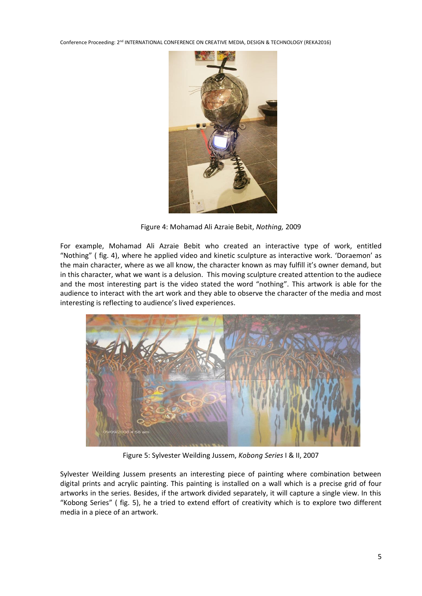

Figure 4: Mohamad Ali Azraie Bebit, *Nothing,* 2009

For example, Mohamad Ali Azraie Bebit who created an interactive type of work, entitled "Nothing" ( fig. 4), where he applied video and kinetic sculpture as interactive work. 'Doraemon' as the main character, where as we all know, the character known as may fulfill it's owner demand, but in this character, what we want is a delusion. This moving sculpture created attention to the audiece and the most interesting part is the video stated the word "nothing". This artwork is able for the audience to interact with the art work and they able to observe the character of the media and most interesting is reflecting to audience's lived experiences.



Figure 5: Sylvester Weilding Jussem, *Kobong Series* I & II, 2007

Sylvester Weilding Jussem presents an interesting piece of painting where combination between digital prints and acrylic painting. This painting is installed on a wall which is a precise grid of four artworks in the series. Besides, if the artwork divided separately, it will capture a single view. In this "Kobong Series" ( fig. 5), he a tried to extend effort of creativity which is to explore two different media in a piece of an artwork.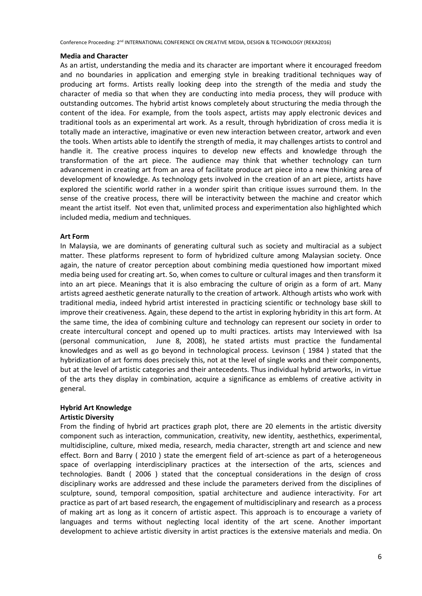#### **Media and Character**

As an artist, understanding the media and its character are important where it encouraged freedom and no boundaries in application and emerging style in breaking traditional techniques way of producing art forms. Artists really looking deep into the strength of the media and study the character of media so that when they are conducting into media process, they will produce with outstanding outcomes. The hybrid artist knows completely about structuring the media through the content of the idea. For example, from the tools aspect, artists may apply electronic devices and traditional tools as an experimental art work. As a result, through hybridization of cross media it is totally made an interactive, imaginative or even new interaction between creator, artwork and even the tools. When artists able to identify the strength of media, it may challenges artists to control and handle it. The creative process inquires to develop new effects and knowledge through the transformation of the art piece. The audience may think that whether technology can turn advancement in creating art from an area of facilitate produce art piece into a new thinking area of development of knowledge. As technology gets involved in the creation of an art piece, artists have explored the scientific world rather in a wonder spirit than critique issues surround them. In the sense of the creative process, there will be interactivity between the machine and creator which meant the artist itself. Not even that, unlimited process and experimentation also highlighted which included media, medium and techniques.

## **Art Form**

In Malaysia, we are dominants of generating cultural such as society and multiracial as a subject matter. These platforms represent to form of hybridized culture among Malaysian society. Once again, the nature of creator perception about combining media questioned how important mixed media being used for creating art. So, when comes to culture or cultural images and then transform it into an art piece. Meanings that it is also embracing the culture of origin as a form of art. Many artists agreed aesthetic generate naturally to the creation of artwork. Although artists who work with traditional media, indeed hybrid artist interested in practicing scientific or technology base skill to improve their creativeness. Again, these depend to the artist in exploring hybridity in this art form. At the same time, the idea of combining culture and technology can represent our society in order to create intercultural concept and opened up to multi practices. artists may Interviewed with Isa (personal communication, June 8, 2008), he stated artists must practice the fundamental knowledges and as well as go beyond in technological process. Levinson ( 1984 ) stated that the hybridization of art forms does precisely this, not at the level of single works and their components, but at the level of artistic categories and their antecedents. Thus individual hybrid artworks, in virtue of the arts they display in combination, acquire a significance as emblems of creative activity in general.

## **Hybrid Art Knowledge**

# **Artistic Diversity**

From the finding of hybrid art practices graph plot, there are 20 elements in the artistic diversity component such as interaction, communication, creativity, new identity, aesthethics, experimental, multidiscipline, culture, mixed media, research, media character, strength art and science and new effect. Born and Barry ( 2010 ) state the emergent field of art-science as part of a heterogeneous space of overlapping interdisciplinary practices at the intersection of the arts, sciences and technologies. Bandt ( 2006 ) stated that the conceptual considerations in the design of cross disciplinary works are addressed and these include the parameters derived from the disciplines of sculpture, sound, temporal composition, spatial architecture and audience interactivity. For art practice as part of art based research, the engagement of multidisciplinary and research as a process of making art as long as it concern of artistic aspect. This approach is to encourage a variety of languages and terms without neglecting local identity of the art scene. Another important development to achieve artistic diversity in artist practices is the extensive materials and media. On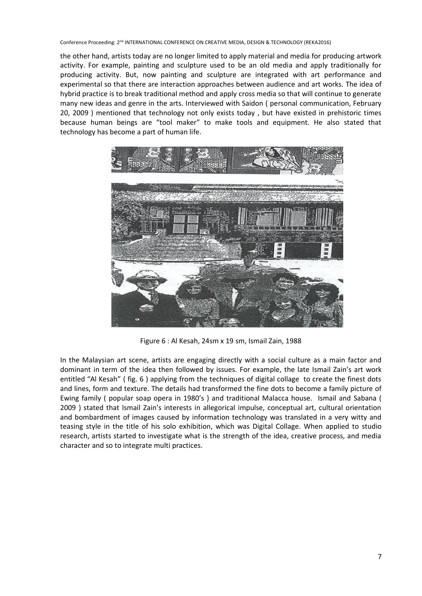the other hand, artists today are no longer limited to apply material and media for producing artwork activity. For example, painting and sculpture used to be an old media and apply traditionally for producing activity. But, now painting and sculpture are integrated with art performance and experimental so that there are interaction approaches between audience and art works. The idea of hybrid practice is to break traditional method and apply cross media so that will continue to generate many new ideas and genre in the arts. Interviewed with Saidon ( personal communication, February 20, 2009 ) mentioned that technology not only exists today , but have existed in prehistoric times because human beings are "tool maker" to make tools and equipment. He also stated that technology has become a part of human life.



Figure 6 : Al Kesah, 24sm x 19 sm, Ismail Zain, 1988

In the Malaysian art scene, artists are engaging directly with a social culture as a main factor and dominant in term of the idea then followed by issues. For example, the late Ismail Zain's art work entitled "Al Kesah" ( fig. 6 ) applying from the techniques of digital collage to create the finest dots and lines, form and texture. The details had transformed the fine dots to become a family picture of Ewing family ( popular soap opera in 1980's ) and traditional Malacca house. Ismail and Sabana ( 2009 ) stated that Ismail Zain's interests in allegorical impulse, conceptual art, cultural orientation and bombardment of images caused by information technology was translated in a very witty and teasing style in the title of his solo exhibition, which was Digital Collage. When applied to studio research, artists started to investigate what is the strength of the idea, creative process, and media character and so to integrate multi practices.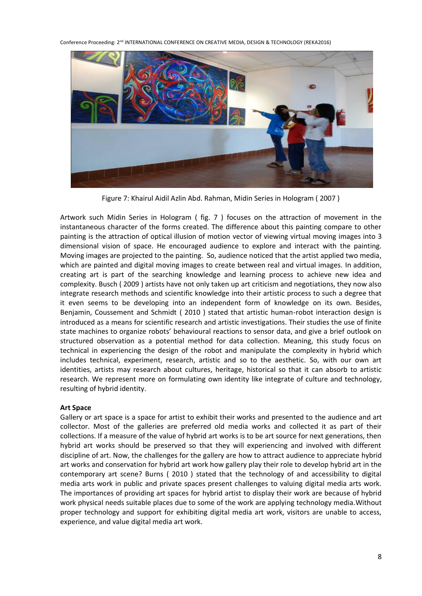

Figure 7: Khairul Aidil Azlin Abd. Rahman, Midin Series in Hologram ( 2007 )

Artwork such Midin Series in Hologram ( fig. 7 ) focuses on the attraction of movement in the instantaneous character of the forms created. The difference about this painting compare to other painting is the attraction of optical illusion of motion vector of viewing virtual moving images into 3 dimensional vision of space. He encouraged audience to explore and interact with the painting. Moving images are projected to the painting. So, audience noticed that the artist applied two media, which are painted and digital moving images to create between real and virtual images. In addition, creating art is part of the searching knowledge and learning process to achieve new idea and complexity. Busch ( 2009 ) artists have not only taken up art criticism and negotiations, they now also integrate research methods and scientific knowledge into their artistic process to such a degree that it even seems to be developing into an independent form of knowledge on its own. Besides, Benjamin, Coussement and Schmidt ( 2010 ) stated that artistic human-robot interaction design is introduced as a means for scientific research and artistic investigations. Their studies the use of finite state machines to organize robots' behavioural reactions to sensor data, and give a brief outlook on structured observation as a potential method for data collection. Meaning, this study focus on technical in experiencing the design of the robot and manipulate the complexity in hybrid which includes technical, experiment, research, artistic and so to the aesthetic. So, with our own art identities, artists may research about cultures, heritage, historical so that it can absorb to artistic research. We represent more on formulating own identity like integrate of culture and technology, resulting of hybrid identity.

## **Art Space**

Gallery or art space is a space for artist to exhibit their works and presented to the audience and art collector. Most of the galleries are preferred old media works and collected it as part of their collections. If a measure of the value of hybrid art works is to be art source for next generations, then hybrid art works should be preserved so that they will experiencing and involved with different discipline of art. Now, the challenges for the gallery are how to attract audience to appreciate hybrid art works and conservation for hybrid art work how gallery play their role to develop hybrid art in the contemporary art scene? Burns ( 2010 ) stated that the technology of and accessibility to digital media arts work in public and private spaces present challenges to valuing digital media arts work. The importances of providing art spaces for hybrid artist to display their work are because of hybrid work physical needs suitable places due to some of the work are applying technology media.Without proper technology and support for exhibiting digital media art work, visitors are unable to access, experience, and value digital media art work.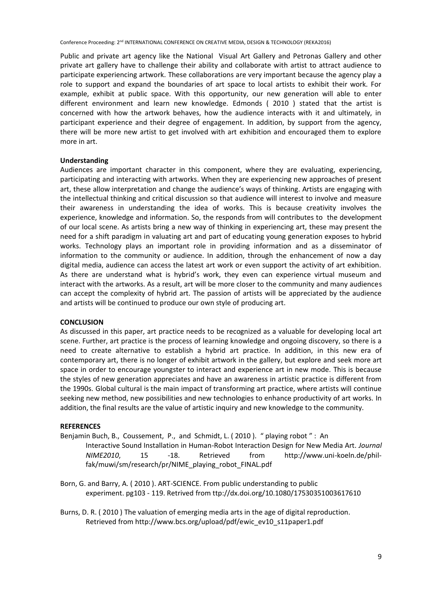Public and private art agency like the National Visual Art Gallery and Petronas Gallery and other private art gallery have to challenge their ability and collaborate with artist to attract audience to participate experiencing artwork. These collaborations are very important because the agency play a role to support and expand the boundaries of art space to local artists to exhibit their work. For example, exhibit at public space. With this opportunity, our new generation will able to enter different environment and learn new knowledge. Edmonds ( 2010 ) stated that the artist is concerned with how the artwork behaves, how the audience interacts with it and ultimately, in participant experience and their degree of engagement. In addition, by support from the agency, there will be more new artist to get involved with art exhibition and encouraged them to explore more in art.

# **Understanding**

Audiences are important character in this component, where they are evaluating, experiencing, participating and interacting with artworks. When they are experiencing new approaches of present art, these allow interpretation and change the audience's ways of thinking. Artists are engaging with the intellectual thinking and critical discussion so that audience will interest to involve and measure their awareness in understanding the idea of works. This is because creativity involves the experience, knowledge and information. So, the responds from will contributes to the development of our local scene. As artists bring a new way of thinking in experiencing art, these may present the need for a shift paradigm in valuating art and part of educating young generation exposes to hybrid works. Technology plays an important role in providing information and as a disseminator of information to the community or audience. In addition, through the enhancement of now a day digital media, audience can access the latest art work or even support the activity of art exhibition. As there are understand what is hybrid's work, they even can experience virtual museum and interact with the artworks. As a result, art will be more closer to the community and many audiences can accept the complexity of hybrid art. The passion of artists will be appreciated by the audience and artists will be continued to produce our own style of producing art.

# **CONCLUSION**

As discussed in this paper, art practice needs to be recognized as a valuable for developing local art scene. Further, art practice is the process of learning knowledge and ongoing discovery, so there is a need to create alternative to establish a hybrid art practice. In addition, in this new era of contemporary art, there is no longer of exhibit artwork in the gallery, but explore and seek more art space in order to encourage youngster to interact and experience art in new mode. This is because the styles of new generation appreciates and have an awareness in artistic practice is different from the 1990s. Global cultural is the main impact of transforming art practice, where artists will continue seeking new method, new possibilities and new technologies to enhance productivity of art works. In addition, the final results are the value of artistic inquiry and new knowledge to the community.

## **REFERENCES**

Benjamin Buch, B., Coussement, P., and Schmidt, L. ( 2010 ). " playing robot " : An

Interactive Sound Installation in Human-Robot Interaction Design for New Media Art. *Journal NIME2010*, 15 -18. Retrieved from http://www.uni-koeln.de/philfak/muwi/sm/research/pr/NIME\_playing\_robot\_FINAL.pdf

Born, G. and Barry, A. ( 2010 ). ART-SCIENCE. From public understanding to public experiment. pg103 - 119. Retrived from ttp://dx.doi.org/10.1080/17530351003617610

Burns, D. R. ( 2010 ) The valuation of emerging media arts in the age of digital reproduction. Retrieved from http://www.bcs.org/upload/pdf/ewic\_ev10\_s11paper1.pdf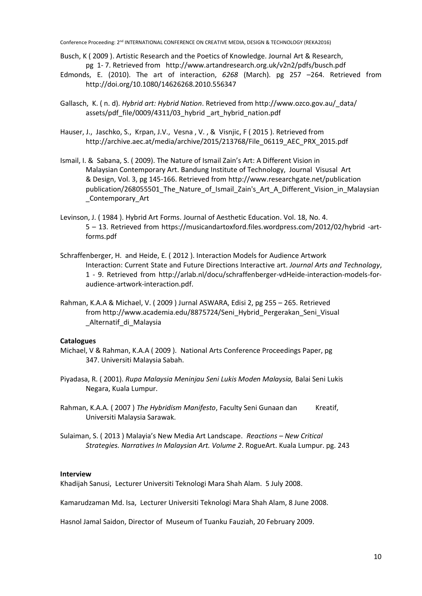- Busch, K ( 2009 ). Artistic Research and the Poetics of Knowledge. Journal Art & Research, pg 1- 7. Retrieved from http://www.artandresearch.org.uk/v2n2/pdfs/busch.pdf
- Edmonds, E. (2010). The art of interaction, *6268* (March). pg 257 –264. Retrieved from http://doi.org/10.1080/14626268.2010.556347
- Gallasch, K. ( n. d). *Hybrid art: Hybrid Nation*. Retrieved from http://www.ozco.gov.au/\_data/ assets/pdf\_file/0009/4311/03\_hybrid\_art\_hybrid\_nation.pdf
- Hauser, J., Jaschko, S., Krpan, J.V., Vesna , V. , & Visnjic, F ( 2015 ). Retrieved from http://archive.aec.at/media/archive/2015/213768/File\_06119\_AEC\_PRX\_2015.pdf
- Ismail, I. & Sabana, S. ( 2009). The Nature of Ismail Zain's Art: A Different Vision in Malaysian Contemporary Art. Bandung Institute of Technology, Journal Visusal Art & Design, Vol. 3, pg 145-166. Retrieved from http://www.researchgate.net/publication publication/268055501\_The\_Nature\_of\_Ismail\_Zain's\_Art\_A\_Different\_Vision\_in\_Malaysian \_Contemporary\_Art
- Levinson, J. ( 1984 ). Hybrid Art Forms. Journal of Aesthetic Education. Vol. 18, No. 4. 5 – 13. Retrieved from https://musicandartoxford.files.wordpress.com/2012/02/hybrid -artforms.pdf
- Schraffenberger, H. and Heide, E. ( 2012 ). Interaction Models for Audience Artwork Interaction: Current State and Future Directions Interactive art. *Journal Arts and Technology*, 1 - 9. Retrieved from http://arlab.nl/docu/schraffenberger-vdHeide-interaction-models-foraudience-artwork-interaction.pdf.
- Rahman, K.A.A & Michael, V. ( 2009 ) Jurnal ASWARA, Edisi 2, pg 255 265. Retrieved from http://www.academia.edu/8875724/Seni\_Hybrid\_Pergerakan\_Seni\_Visual \_Alternatif\_di\_Malaysia

## **Catalogues**

- Michael, V & Rahman, K.A.A ( 2009 ). National Arts Conference Proceedings Paper, pg 347. Universiti Malaysia Sabah.
- Piyadasa, R. ( 2001). *Rupa Malaysia Meninjau Seni Lukis Moden Malaysia,* Balai Seni Lukis Negara, Kuala Lumpur.
- Rahman, K.A.A. ( 2007 ) *The Hybridism Manifesto*, Faculty Seni Gunaan dan Kreatif, Universiti Malaysia Sarawak.
- Sulaiman, S. ( 2013 ) Malayia's New Media Art Landscape. *Reactions – New Critical Strategies. Narratives In Malaysian Art. Volume 2*. RogueArt. Kuala Lumpur. pg. 243

#### **Interview**

Khadijah Sanusi, Lecturer Universiti Teknologi Mara Shah Alam. 5 July 2008.

Kamarudzaman Md. Isa, Lecturer Universiti Teknologi Mara Shah Alam, 8 June 2008.

Hasnol Jamal Saidon, Director of Museum of Tuanku Fauziah, 20 February 2009.